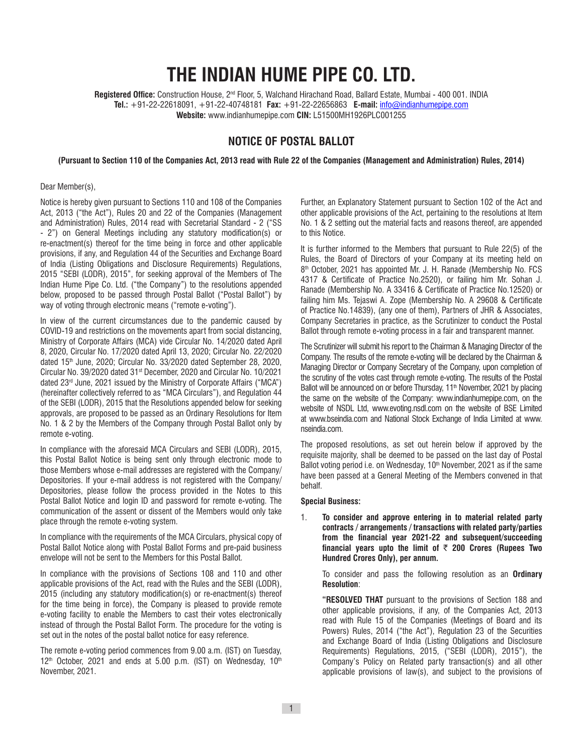# **THE INDIAN HUME PIPE CO. LTD.**

Registered Office: Construction House, 2<sup>nd</sup> Floor, 5, Walchand Hirachand Road, Ballard Estate, Mumbai - 400 001. INDIA **Tel.:** +91-22-22618091, +91-22-40748181 **Fax:** +91-22-22656863 **E-mail:** info@indianhumepipe.com **Website:** www.indianhumepipe.com **CIN:** L51500MH1926PLC001255

# **NOTICE OF POSTAL BALLOT**

**(Pursuant to Section 110 of the Companies Act, 2013 read with Rule 22 of the Companies (Management and Administration) Rules, 2014)**

#### Dear Member(s),

Notice is hereby given pursuant to Sections 110 and 108 of the Companies Act, 2013 ("the Act"), Rules 20 and 22 of the Companies (Management and Administration) Rules, 2014 read with Secretarial Standard - 2 ("SS - 2") on General Meetings including any statutory modification(s) or re-enactment(s) thereof for the time being in force and other applicable provisions, if any, and Regulation 44 of the Securities and Exchange Board of India (Listing Obligations and Disclosure Requirements) Regulations, 2015 "SEBI (LODR), 2015", for seeking approval of the Members of The Indian Hume Pipe Co. Ltd. ("the Company") to the resolutions appended below, proposed to be passed through Postal Ballot ("Postal Ballot") by way of voting through electronic means ("remote e-voting").

In view of the current circumstances due to the pandemic caused by COVID-19 and restrictions on the movements apart from social distancing, Ministry of Corporate Affairs (MCA) vide Circular No. 14/2020 dated April 8, 2020, Circular No. 17/2020 dated April 13, 2020; Circular No. 22/2020 dated 15<sup>th</sup> June, 2020; Circular No. 33/2020 dated September 28, 2020, Circular No. 39/2020 dated 31st December, 2020 and Circular No. 10/2021 dated 23rd June, 2021 issued by the Ministry of Corporate Affairs ("MCA") (hereinafter collectively referred to as "MCA Circulars"), and Regulation 44 of the SEBI (LODR), 2015 that the Resolutions appended below for seeking approvals, are proposed to be passed as an Ordinary Resolutions for Item No. 1 & 2 by the Members of the Company through Postal Ballot only by remote e-voting.

In compliance with the aforesaid MCA Circulars and SEBI (LODR), 2015, this Postal Ballot Notice is being sent only through electronic mode to those Members whose e-mail addresses are registered with the Company/ Depositories. If your e-mail address is not registered with the Company/ Depositories, please follow the process provided in the Notes to this Postal Ballot Notice and login ID and password for remote e-voting. The communication of the assent or dissent of the Members would only take place through the remote e-voting system.

In compliance with the requirements of the MCA Circulars, physical copy of Postal Ballot Notice along with Postal Ballot Forms and pre-paid business envelope will not be sent to the Members for this Postal Ballot.

In compliance with the provisions of Sections 108 and 110 and other applicable provisions of the Act, read with the Rules and the SEBI (LODR), 2015 (including any statutory modification(s) or re-enactment(s) thereof for the time being in force), the Company is pleased to provide remote e-voting facility to enable the Members to cast their votes electronically instead of through the Postal Ballot Form. The procedure for the voting is set out in the notes of the postal ballot notice for easy reference.

The remote e-voting period commences from 9.00 a.m. (IST) on Tuesday,  $12<sup>th</sup>$  October, 2021 and ends at 5.00 p.m. (IST) on Wednesday,  $10<sup>th</sup>$ November, 2021.

Further, an Explanatory Statement pursuant to Section 102 of the Act and other applicable provisions of the Act, pertaining to the resolutions at Item No. 1 & 2 setting out the material facts and reasons thereof, are appended to this Notice.

It is further informed to the Members that pursuant to Rule 22(5) of the Rules, the Board of Directors of your Company at its meeting held on 8th October, 2021 has appointed Mr. J. H. Ranade (Membership No. FCS 4317 & Certificate of Practice No.2520), or failing him Mr. Sohan J. Ranade (Membership No. A 33416 & Certificate of Practice No.12520) or failing him Ms. Tejaswi A. Zope (Membership No. A 29608 & Certificate of Practice No.14839), (any one of them), Partners of JHR & Associates, Company Secretaries in practice, as the Scrutinizer to conduct the Postal Ballot through remote e-voting process in a fair and transparent manner.

The Scrutinizer will submit his report to the Chairman & Managing Director of the Company. The results of the remote e-voting will be declared by the Chairman & Managing Director or Company Secretary of the Company, upon completion of the scrutiny of the votes cast through remote e-voting. The results of the Postal Ballot will be announced on or before Thursday, 11<sup>th</sup> November, 2021 by placing the same on the website of the Company: www.indianhumepipe.com, on the website of NSDL Ltd, www.evoting.nsdl.com on the website of BSE Limited at www.bseindia.com and National Stock Exchange of India Limited at www. nseindia.com.

The proposed resolutions, as set out herein below if approved by the requisite majority, shall be deemed to be passed on the last day of Postal Ballot voting period i.e. on Wednesday, 10<sup>th</sup> November, 2021 as if the same have been passed at a General Meeting of the Members convened in that behalf.

#### **Special Business:**

1. **To consider and approve entering in to material related party contracts / arrangements / transactions with related party/parties from the financial year 2021-22 and subsequent/succeeding financial years upto the limit of** ` **200 Crores (Rupees Two Hundred Crores Only), per annum.**

To consider and pass the following resolution as an **Ordinary Resolution**:

**"RESOLVED THAT** pursuant to the provisions of Section 188 and other applicable provisions, if any, of the Companies Act, 2013 read with Rule 15 of the Companies (Meetings of Board and its Powers) Rules, 2014 ("the Act"), Regulation 23 of the Securities and Exchange Board of India (Listing Obligations and Disclosure Requirements) Regulations, 2015, ("SEBI (LODR), 2015"), the Company's Policy on Related party transaction(s) and all other applicable provisions of law(s), and subject to the provisions of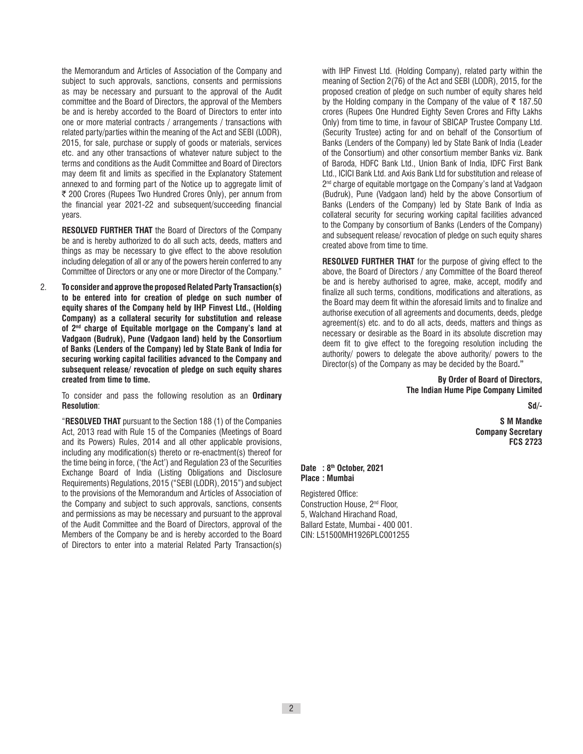the Memorandum and Articles of Association of the Company and subject to such approvals, sanctions, consents and permissions as may be necessary and pursuant to the approval of the Audit committee and the Board of Directors, the approval of the Members be and is hereby accorded to the Board of Directors to enter into one or more material contracts / arrangements / transactions with related party/parties within the meaning of the Act and SEBI (LODR), 2015, for sale, purchase or supply of goods or materials, services etc. and any other transactions of whatever nature subject to the terms and conditions as the Audit Committee and Board of Directors may deem fit and limits as specified in the Explanatory Statement annexed to and forming part of the Notice up to aggregate limit of ₹ 200 Crores (Rupees Two Hundred Crores Only), per annum from the financial year 2021-22 and subsequent/succeeding financial years.

**RESOLVED FURTHER THAT** the Board of Directors of the Company be and is hereby authorized to do all such acts, deeds, matters and things as may be necessary to give effect to the above resolution including delegation of all or any of the powers herein conferred to any Committee of Directors or any one or more Director of the Company."

2. **To consider and approve the proposed Related Party Transaction(s) to be entered into for creation of pledge on such number of equity shares of the Company held by IHP Finvest Ltd., (Holding Company) as a collateral security for substitution and release of 2nd charge of Equitable mortgage on the Company's land at Vadgaon (Budruk), Pune (Vadgaon land) held by the Consortium of Banks (Lenders of the Company) led by State Bank of India for securing working capital facilities advanced to the Company and subsequent release/ revocation of pledge on such equity shares created from time to time.**

To consider and pass the following resolution as an **Ordinary Resolution**:

"**RESOLVED THAT** pursuant to the Section 188 (1) of the Companies Act, 2013 read with Rule 15 of the Companies (Meetings of Board and its Powers) Rules, 2014 and all other applicable provisions, including any modification(s) thereto or re-enactment(s) thereof for the time being in force, ('the Act') and Regulation 23 of the Securities Exchange Board of India (Listing Obligations and Disclosure Requirements) Regulations, 2015 ("SEBI (LODR), 2015") and subject to the provisions of the Memorandum and Articles of Association of the Company and subject to such approvals, sanctions, consents and permissions as may be necessary and pursuant to the approval of the Audit Committee and the Board of Directors, approval of the Members of the Company be and is hereby accorded to the Board of Directors to enter into a material Related Party Transaction(s) with IHP Finvest Ltd. (Holding Company), related party within the meaning of Section 2(76) of the Act and SEBI (LODR), 2015, for the proposed creation of pledge on such number of equity shares held by the Holding company in the Company of the value of  $\bar{\tau}$  187.50 crores (Rupees One Hundred Eighty Seven Crores and Fifty Lakhs Only) from time to time, in favour of SBICAP Trustee Company Ltd. (Security Trustee) acting for and on behalf of the Consortium of Banks (Lenders of the Company) led by State Bank of India (Leader of the Consortium) and other consortium member Banks viz. Bank of Baroda, HDFC Bank Ltd., Union Bank of India, IDFC First Bank Ltd., ICICI Bank Ltd. and Axis Bank Ltd for substitution and release of 2<sup>nd</sup> charge of equitable mortgage on the Company's land at Vadgaon (Budruk), Pune (Vadgaon land) held by the above Consortium of Banks (Lenders of the Company) led by State Bank of India as collateral security for securing working capital facilities advanced to the Company by consortium of Banks (Lenders of the Company) and subsequent release/ revocation of pledge on such equity shares created above from time to time.

**RESOLVED FURTHER THAT** for the purpose of giving effect to the above, the Board of Directors / any Committee of the Board thereof be and is hereby authorised to agree, make, accept, modify and finalize all such terms, conditions, modifications and alterations, as the Board may deem fit within the aforesaid limits and to finalize and authorise execution of all agreements and documents, deeds, pledge agreement(s) etc. and to do all acts, deeds, matters and things as necessary or desirable as the Board in its absolute discretion may deem fit to give effect to the foregoing resolution including the authority/ powers to delegate the above authority/ powers to the Director(s) of the Company as may be decided by the Board**."**

> **By Order of Board of Directors, The Indian Hume Pipe Company Limited**

> > **Sd/-**

**S M Mandke Company Secretary FCS 2723**

### **Date : 8th October, 2021 Place : Mumbai**

Registered Office: Construction House, 2nd Floor, 5, Walchand Hirachand Road, Ballard Estate, Mumbai - 400 001. CIN: L51500MH1926PLC001255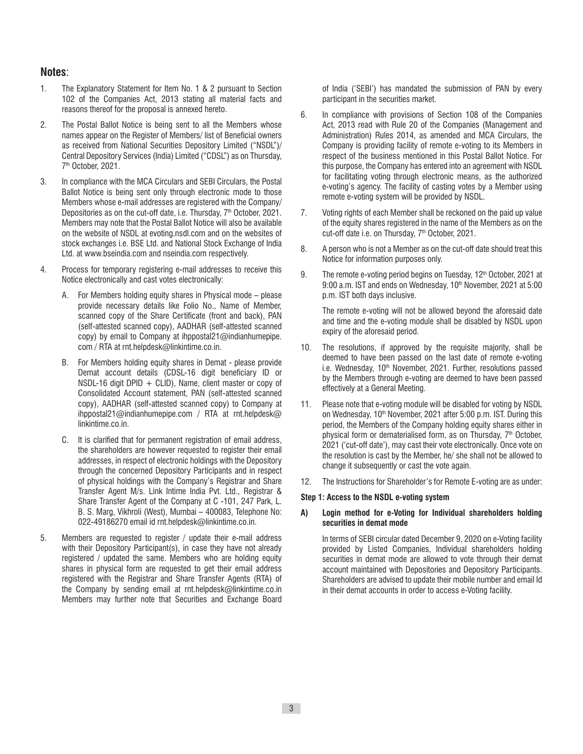# **Notes**:

- 1. The Explanatory Statement for Item No. 1 & 2 pursuant to Section 102 of the Companies Act, 2013 stating all material facts and reasons thereof for the proposal is annexed hereto.
- 2. The Postal Ballot Notice is being sent to all the Members whose names appear on the Register of Members/ list of Beneficial owners as received from National Securities Depository Limited ("NSDL")/ Central Depository Services (India) Limited ("CDSL") as on Thursday, 7th October, 2021.
- 3. In compliance with the MCA Circulars and SEBI Circulars, the Postal Ballot Notice is being sent only through electronic mode to those Members whose e-mail addresses are registered with the Company/ Depositories as on the cut-off date, i.e. Thursday, 7<sup>th</sup> October, 2021. Members may note that the Postal Ballot Notice will also be available on the website of NSDL at evoting.nsdl.com and on the websites of stock exchanges i.e. BSE Ltd. and National Stock Exchange of India Ltd. at www.bseindia.com and nseindia.com respectively.
- 4. Process for temporary registering e-mail addresses to receive this Notice electronically and cast votes electronically:
	- A. For Members holding equity shares in Physical mode please provide necessary details like Folio No., Name of Member, scanned copy of the Share Certificate (front and back), PAN (self-attested scanned copy), AADHAR (self-attested scanned copy) by email to Company at ihppostal21@indianhumepipe. com / RTA at rnt.helpdesk@linkintime.co.in.
	- B. For Members holding equity shares in Demat please provide Demat account details (CDSL-16 digit beneficiary ID or NSDL-16 digit DPID  $+$  CLID), Name, client master or copy of Consolidated Account statement, PAN (self-attested scanned copy), AADHAR (self-attested scanned copy) to Company at ihppostal21@indianhumepipe.com / RTA at rnt.helpdesk@ linkintime.co.in.
	- C. It is clarified that for permanent registration of email address, the shareholders are however requested to register their email addresses, in respect of electronic holdings with the Depository through the concerned Depository Participants and in respect of physical holdings with the Company's Registrar and Share Transfer Agent M/s. Link Intime India Pvt. Ltd., Registrar & Share Transfer Agent of the Company at C -101, 247 Park, L. B. S. Marg, Vikhroli (West), Mumbai – 400083, Telephone No: 022-49186270 email id rnt.helpdesk@linkintime.co.in.
- 5. Members are requested to register / update their e-mail address with their Depository Participant(s), in case they have not already registered / updated the same. Members who are holding equity shares in physical form are requested to get their email address registered with the Registrar and Share Transfer Agents (RTA) of the Company by sending email at rnt.helpdesk@linkintime.co.in Members may further note that Securities and Exchange Board

of India ('SEBI') has mandated the submission of PAN by every participant in the securities market.

- 6. In compliance with provisions of Section 108 of the Companies Act, 2013 read with Rule 20 of the Companies (Management and Administration) Rules 2014, as amended and MCA Circulars, the Company is providing facility of remote e-voting to its Members in respect of the business mentioned in this Postal Ballot Notice. For this purpose, the Company has entered into an agreement with NSDL for facilitating voting through electronic means, as the authorized e-voting's agency. The facility of casting votes by a Member using remote e-voting system will be provided by NSDL.
- 7. Voting rights of each Member shall be reckoned on the paid up value of the equity shares registered in the name of the Members as on the cut-off date i.e. on Thursday, 7<sup>th</sup> October, 2021.
- 8. A person who is not a Member as on the cut-off date should treat this Notice for information purposes only.
- 9. The remote e-voting period begins on Tuesday,  $12<sup>th</sup>$  October, 2021 at 9:00 a.m. IST and ends on Wednesday, 10<sup>th</sup> November, 2021 at 5:00 p.m. IST both days inclusive.

The remote e-voting will not be allowed beyond the aforesaid date and time and the e-voting module shall be disabled by NSDL upon expiry of the aforesaid period.

- 10. The resolutions, if approved by the requisite majority, shall be deemed to have been passed on the last date of remote e-voting i.e. Wednesday, 10<sup>th</sup> November, 2021. Further, resolutions passed by the Members through e-voting are deemed to have been passed effectively at a General Meeting.
- 11. Please note that e-voting module will be disabled for voting by NSDL on Wednesday, 10<sup>th</sup> November, 2021 after 5:00 p.m. IST. During this period, the Members of the Company holding equity shares either in physical form or dematerialised form, as on Thursday,  $7<sup>th</sup>$  October, 2021 ('cut-off date'), may cast their vote electronically. Once vote on the resolution is cast by the Member, he/ she shall not be allowed to change it subsequently or cast the vote again.
- 12. The Instructions for Shareholder's for Remote E-voting are as under:

#### **Step 1: Access to the NSDL e-voting system**

## **A) Login method for e-Voting for Individual shareholders holding securities in demat mode**

In terms of SEBI circular dated December 9, 2020 on e-Voting facility provided by Listed Companies, Individual shareholders holding securities in demat mode are allowed to vote through their demat account maintained with Depositories and Depository Participants. Shareholders are advised to update their mobile number and email Id in their demat accounts in order to access e-Voting facility.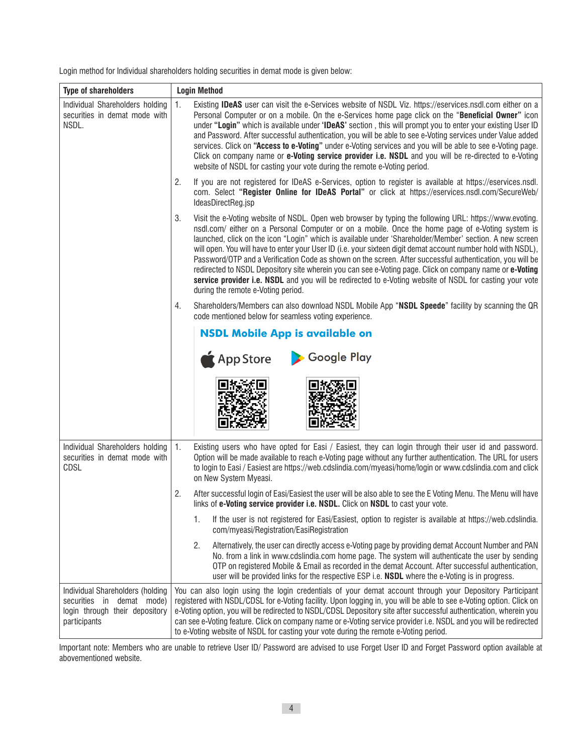Login method for Individual shareholders holding securities in demat mode is given below:

| <b>Type of shareholders</b>                                                                                     | <b>Login Method</b>                                                                                                                                                                                                                                                                                                                                                                                                                                                                                                                                                                                                                                                                                                                                                                                                   |  |  |
|-----------------------------------------------------------------------------------------------------------------|-----------------------------------------------------------------------------------------------------------------------------------------------------------------------------------------------------------------------------------------------------------------------------------------------------------------------------------------------------------------------------------------------------------------------------------------------------------------------------------------------------------------------------------------------------------------------------------------------------------------------------------------------------------------------------------------------------------------------------------------------------------------------------------------------------------------------|--|--|
| Individual Shareholders holding<br>securities in demat mode with<br>NSDL.                                       | 1.<br>Existing <b>IDeAS</b> user can visit the e-Services website of NSDL Viz. https://eservices.nsdl.com either on a<br>Personal Computer or on a mobile. On the e-Services home page click on the "Beneficial Owner" icon<br>under "Login" which is available under 'IDeAS' section, this will prompt you to enter your existing User ID<br>and Password. After successful authentication, you will be able to see e-Voting services under Value added<br>services. Click on "Access to e-Voting" under e-Voting services and you will be able to see e-Voting page.<br>Click on company name or e-Voting service provider i.e. NSDL and you will be re-directed to e-Voting<br>website of NSDL for casting your vote during the remote e-Voting period.                                                            |  |  |
|                                                                                                                 | 2.<br>If you are not registered for IDeAS e-Services, option to register is available at https://eservices.nsdl.<br>com. Select "Register Online for IDeAS Portal" or click at https://eservices.nsdl.com/SecureWeb/<br>IdeasDirectReg.jsp                                                                                                                                                                                                                                                                                                                                                                                                                                                                                                                                                                            |  |  |
|                                                                                                                 | 3.<br>Visit the e-Voting website of NSDL. Open web browser by typing the following URL: https://www.evoting.<br>nsdl.com/ either on a Personal Computer or on a mobile. Once the home page of e-Voting system is<br>launched, click on the icon "Login" which is available under 'Shareholder/Member' section. A new screen<br>will open. You will have to enter your User ID (i.e. your sixteen digit demat account number hold with NSDL),<br>Password/OTP and a Verification Code as shown on the screen. After successful authentication, you will be<br>redirected to NSDL Depository site wherein you can see e-Voting page. Click on company name or e-Voting<br>service provider i.e. NSDL and you will be redirected to e-Voting website of NSDL for casting your vote<br>during the remote e-Voting period. |  |  |
|                                                                                                                 | Shareholders/Members can also download NSDL Mobile App "NSDL Speede" facility by scanning the QR<br>code mentioned below for seamless voting experience.                                                                                                                                                                                                                                                                                                                                                                                                                                                                                                                                                                                                                                                              |  |  |
|                                                                                                                 | <b>NSDL Mobile App is available on</b><br><b>Google Play</b><br>App Store                                                                                                                                                                                                                                                                                                                                                                                                                                                                                                                                                                                                                                                                                                                                             |  |  |
| Individual Shareholders holding<br>securities in demat mode with<br>CDSL                                        | 1.<br>Existing users who have opted for Easi / Easiest, they can login through their user id and password.<br>Option will be made available to reach e-Voting page without any further authentication. The URL for users<br>to login to Easi / Easiest are https://web.cdslindia.com/myeasi/home/login or www.cdslindia.com and click<br>on New System Myeasi.                                                                                                                                                                                                                                                                                                                                                                                                                                                        |  |  |
|                                                                                                                 | 2.<br>After successful login of Easi/Easiest the user will be also able to see the E Voting Menu. The Menu will have<br>links of e-Voting service provider i.e. NSDL. Click on NSDL to cast your vote.                                                                                                                                                                                                                                                                                                                                                                                                                                                                                                                                                                                                                |  |  |
|                                                                                                                 | If the user is not registered for Easi/Easiest, option to register is available at https://web.cdslindia.<br>1.<br>com/myeasi/Registration/EasiRegistration                                                                                                                                                                                                                                                                                                                                                                                                                                                                                                                                                                                                                                                           |  |  |
|                                                                                                                 | 2.<br>Alternatively, the user can directly access e-Voting page by providing demat Account Number and PAN<br>No. from a link in www.cdslindia.com home page. The system will authenticate the user by sending<br>OTP on registered Mobile & Email as recorded in the demat Account. After successful authentication,<br>user will be provided links for the respective ESP i.e. NSDL where the e-Voting is in progress.                                                                                                                                                                                                                                                                                                                                                                                               |  |  |
| Individual Shareholders (holding<br>securities in demat mode)<br>login through their depository<br>participants | You can also login using the login credentials of your demat account through your Depository Participant<br>registered with NSDL/CDSL for e-Voting facility. Upon logging in, you will be able to see e-Voting option. Click on<br>e-Voting option, you will be redirected to NSDL/CDSL Depository site after successful authentication, wherein you<br>can see e-Voting feature. Click on company name or e-Voting service provider i.e. NSDL and you will be redirected<br>to e-Voting website of NSDL for casting your vote during the remote e-Voting period.                                                                                                                                                                                                                                                     |  |  |

 Important note: Members who are unable to retrieve User ID/ Password are advised to use Forget User ID and Forget Password option available at abovementioned website.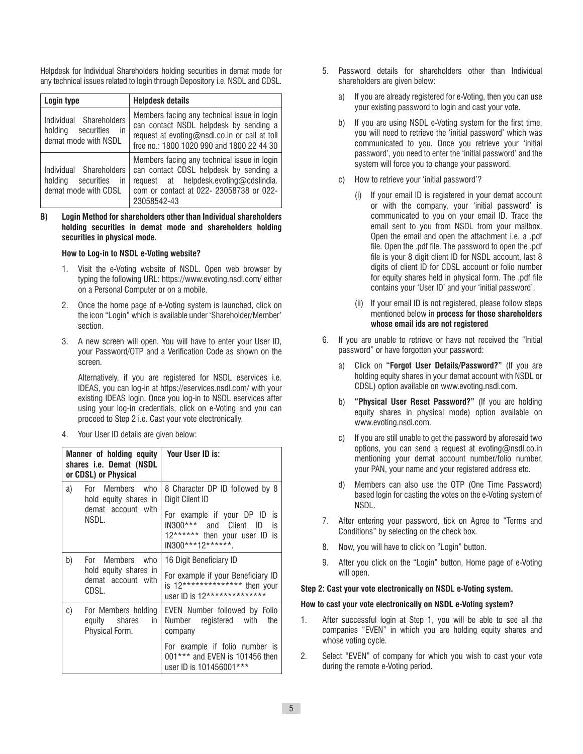Helpdesk for Individual Shareholders holding securities in demat mode for any technical issues related to login through Depository i.e. NSDL and CDSL.

| Login type                                                                      | <b>Helpdesk details</b>                                                                                                                                                                   |  |
|---------------------------------------------------------------------------------|-------------------------------------------------------------------------------------------------------------------------------------------------------------------------------------------|--|
| Individual Shareholders<br>in<br>securities<br>holdina<br>demat mode with NSDL  | Members facing any technical issue in login<br>can contact NSDL helpdesk by sending a<br>request at evoting@nsdl.co.in or call at toll<br>free no.: 1800 1020 990 and 1800 22 44 30       |  |
| Individual Shareholders<br>securities<br>holdina<br>in.<br>demat mode with CDSL | Members facing any technical issue in login<br>can contact CDSL helpdesk by sending a<br>request at helpdesk.evoting@cdslindia.<br>com or contact at 022- 23058738 or 022-<br>23058542-43 |  |

**B) Login Method for shareholders other than Individual shareholders holding securities in demat mode and shareholders holding securities in physical mode.**

## **How to Log-in to NSDL e-Voting website?**

- 1. Visit the e-Voting website of NSDL. Open web browser by typing the following URL: https://www.evoting.nsdl.com/ either on a Personal Computer or on a mobile.
- 2. Once the home page of e-Voting system is launched, click on the icon "Login" which is available under 'Shareholder/Member' section.
- 3. A new screen will open. You will have to enter your User ID, your Password/OTP and a Verification Code as shown on the screen.

 Alternatively, if you are registered for NSDL eservices i.e. IDEAS, you can log-in at https://eservices.nsdl.com/ with your existing IDEAS login. Once you log-in to NSDL eservices after using your log-in credentials, click on e-Voting and you can proceed to Step 2 i.e. Cast your vote electronically.

4. Your User ID details are given below:

| Manner of holding equity<br>shares i.e. Demat (NSDL<br>or CDSL) or Physical |                                                              | Your User ID is:                                                                                   |
|-----------------------------------------------------------------------------|--------------------------------------------------------------|----------------------------------------------------------------------------------------------------|
| a)<br>For Members who<br>hold equity shares in<br>demat account with        |                                                              | 8 Character DP ID followed by 8<br>Digit Client ID<br>For example if your DP ID<br>is              |
|                                                                             | NSDL.                                                        | IN300*** and Client ID<br>is<br>12****** then your user ID<br>is<br>IN300***12******.              |
| b)                                                                          | For Members who                                              | 16 Digit Beneficiary ID                                                                            |
| hold equity shares in<br>demat account with<br>CDSL.                        |                                                              | For example if your Beneficiary ID<br>is 12************** then your<br>user ID is 12************** |
| C)                                                                          | For Members holding<br>equity shares<br>in<br>Physical Form. | EVEN Number followed by Folio<br>Number registered with<br>the<br>company                          |
|                                                                             |                                                              | For example if folio number is<br>001*** and EVEN is 101456 then<br>user ID is 101456001***        |

- 5. Password details for shareholders other than Individual shareholders are given below:
	- a) If you are already registered for e-Voting, then you can use your existing password to login and cast your vote.
	- b) If you are using NSDL e-Voting system for the first time, you will need to retrieve the 'initial password' which was communicated to you. Once you retrieve your 'initial password', you need to enter the 'initial password' and the system will force you to change your password.
	- c) How to retrieve your 'initial password'?
		- (i) If your email ID is registered in your demat account or with the company, your 'initial password' is communicated to you on your email ID. Trace the email sent to you from NSDL from your mailbox. Open the email and open the attachment i.e. a .pdf file. Open the .pdf file. The password to open the .pdf file is your 8 digit client ID for NSDL account, last 8 digits of client ID for CDSL account or folio number for equity shares held in physical form. The .pdf file contains your 'User ID' and your 'initial password'.
		- (ii) If your email ID is not registered, please follow steps mentioned below in **process for those shareholders whose email ids are not registered**
- 6. If you are unable to retrieve or have not received the "Initial password" or have forgotten your password:
	- a) Click on **"Forgot User Details/Password?"** (If you are holding equity shares in your demat account with NSDL or CDSL) option available on www.evoting.nsdl.com.
	- b) **"Physical User Reset Password?"** (If you are holding equity shares in physical mode) option available on www.evoting.nsdl.com.
	- c) If you are still unable to get the password by aforesaid two options, you can send a request at evoting@nsdl.co.in mentioning your demat account number/folio number, your PAN, your name and your registered address etc.
	- Members can also use the OTP (One Time Password) based login for casting the votes on the e-Voting system of NSDL.
- 7. After entering your password, tick on Agree to "Terms and Conditions" by selecting on the check box.
- 8. Now, you will have to click on "Login" button.
- 9. After you click on the "Login" button, Home page of e-Voting will open.

## **Step 2: Cast your vote electronically on NSDL e-Voting system.**

#### **How to cast your vote electronically on NSDL e-Voting system?**

- 1. After successful login at Step 1, you will be able to see all the companies "EVEN" in which you are holding equity shares and whose voting cycle.
- 2. Select "EVEN" of company for which you wish to cast your vote during the remote e-Voting period.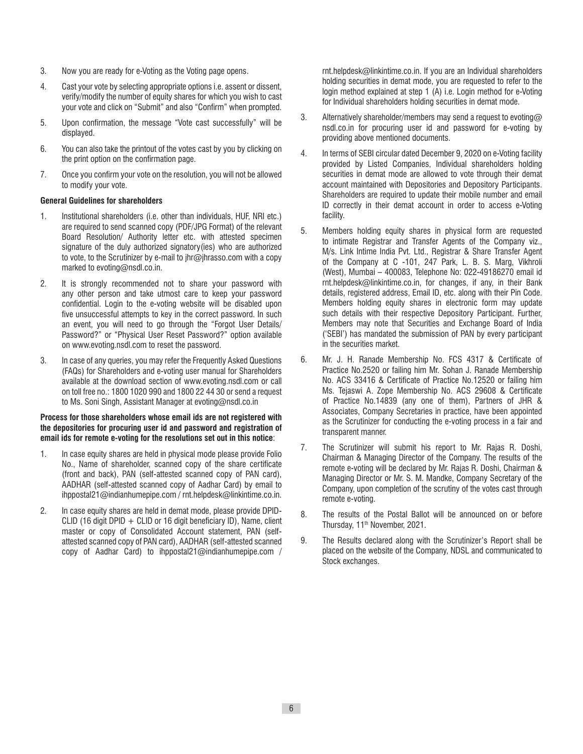- 3. Now you are ready for e-Voting as the Voting page opens.
- 4. Cast your vote by selecting appropriate options i.e. assent or dissent, verify/modify the number of equity shares for which you wish to cast your vote and click on "Submit" and also "Confirm" when prompted.
- 5. Upon confirmation, the message "Vote cast successfully" will be displayed.
- 6. You can also take the printout of the votes cast by you by clicking on the print option on the confirmation page.
- 7. Once you confirm your vote on the resolution, you will not be allowed to modify your vote.

# **General Guidelines for shareholders**

- 1. Institutional shareholders (i.e. other than individuals, HUF, NRI etc.) are required to send scanned copy (PDF/JPG Format) of the relevant Board Resolution/ Authority letter etc. with attested specimen signature of the duly authorized signatory(ies) who are authorized to vote, to the Scrutinizer by e-mail to jhr@jhrasso.com with a copy marked to evoting@nsdl.co.in.
- 2. It is strongly recommended not to share your password with any other person and take utmost care to keep your password confidential. Login to the e-voting website will be disabled upon five unsuccessful attempts to key in the correct password. In such an event, you will need to go through the "Forgot User Details/ Password?" or "Physical User Reset Password?" option available on www.evoting.nsdl.com to reset the password.
- 3. In case of any queries, you may refer the Frequently Asked Questions (FAQs) for Shareholders and e-voting user manual for Shareholders available at the download section of www.evoting.nsdl.com or call on toll free no.: 1800 1020 990 and 1800 22 44 30 or send a request to Ms. Soni Singh, Assistant Manager at evoting@nsdl.co.in

# **Process for those shareholders whose email ids are not registered with the depositories for procuring user id and password and registration of email ids for remote e-voting for the resolutions set out in this notice**:

- 1. In case equity shares are held in physical mode please provide Folio No., Name of shareholder, scanned copy of the share certificate (front and back), PAN (self-attested scanned copy of PAN card), AADHAR (self-attested scanned copy of Aadhar Card) by email to ihppostal21@indianhumepipe.com / rnt.helpdesk@linkintime.co.in.
- 2. In case equity shares are held in demat mode, please provide DPID-CLID (16 digit DPID + CLID or 16 digit beneficiary ID), Name, client master or copy of Consolidated Account statement, PAN (selfattested scanned copy of PAN card), AADHAR (self-attested scanned copy of Aadhar Card) to ihppostal21@indianhumepipe.com /

rnt.helpdesk@linkintime.co.in. If you are an Individual shareholders holding securities in demat mode, you are requested to refer to the login method explained at step 1 (A) i.e. Login method for e-Voting for Individual shareholders holding securities in demat mode.

- 3. Alternatively shareholder/members may send a request to evoting  $@$ nsdl.co.in for procuring user id and password for e-voting by providing above mentioned documents.
- 4. In terms of SEBI circular dated December 9, 2020 on e-Voting facility provided by Listed Companies, Individual shareholders holding securities in demat mode are allowed to vote through their demat account maintained with Depositories and Depository Participants. Shareholders are required to update their mobile number and email ID correctly in their demat account in order to access e-Voting facility.
- 5. Members holding equity shares in physical form are requested to intimate Registrar and Transfer Agents of the Company viz., M/s. Link Intime India Pvt. Ltd., Registrar & Share Transfer Agent of the Company at C -101, 247 Park, L. B. S. Marg, Vikhroli (West), Mumbai – 400083, Telephone No: 022-49186270 email id rnt.helpdesk@linkintime.co.in, for changes, if any, in their Bank details, registered address, Email ID, etc. along with their Pin Code. Members holding equity shares in electronic form may update such details with their respective Depository Participant. Further, Members may note that Securities and Exchange Board of India ('SEBI') has mandated the submission of PAN by every participant in the securities market.
- 6. Mr. J. H. Ranade Membership No. FCS 4317 & Certificate of Practice No.2520 or failing him Mr. Sohan J. Ranade Membership No. ACS 33416 & Certificate of Practice No.12520 or failing him Ms. Tejaswi A. Zope Membership No. ACS 29608 & Certificate of Practice No.14839 (any one of them), Partners of JHR & Associates, Company Secretaries in practice, have been appointed as the Scrutinizer for conducting the e-voting process in a fair and transparent manner.
- 7. The Scrutinizer will submit his report to Mr. Rajas R. Doshi, Chairman & Managing Director of the Company. The results of the remote e-voting will be declared by Mr. Rajas R. Doshi, Chairman & Managing Director or Mr. S. M. Mandke, Company Secretary of the Company, upon completion of the scrutiny of the votes cast through remote e-voting.
- 8. The results of the Postal Ballot will be announced on or before Thursday, 11<sup>th</sup> November, 2021.
- 9. The Results declared along with the Scrutinizer's Report shall be placed on the website of the Company, NDSL and communicated to Stock exchanges.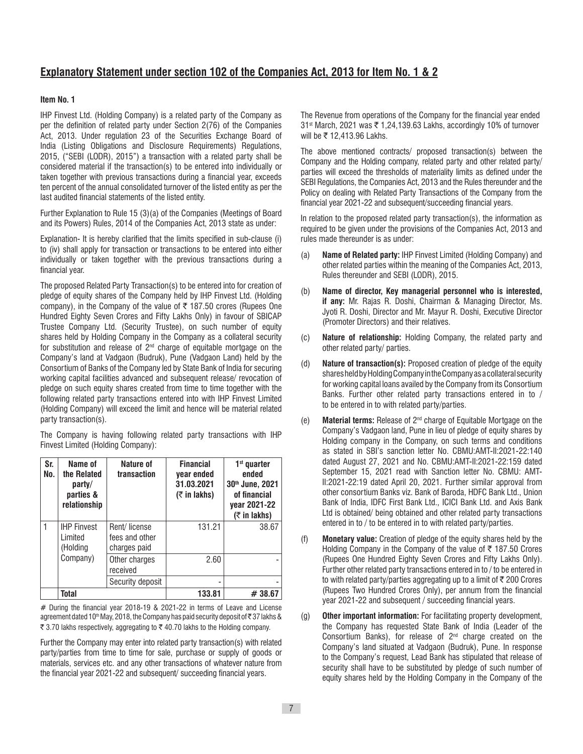# **Explanatory Statement under section 102 of the Companies Act, 2013 for Item No. 1 & 2**

# **Item No. 1**

IHP Finvest Ltd. (Holding Company) is a related party of the Company as per the definition of related party under Section 2(76) of the Companies Act, 2013. Under regulation 23 of the Securities Exchange Board of India (Listing Obligations and Disclosure Requirements) Regulations, 2015, ("SEBI (LODR), 2015") a transaction with a related party shall be considered material if the transaction(s) to be entered into individually or taken together with previous transactions during a financial year, exceeds ten percent of the annual consolidated turnover of the listed entity as per the last audited financial statements of the listed entity.

Further Explanation to Rule 15 (3)(a) of the Companies (Meetings of Board and its Powers) Rules, 2014 of the Companies Act, 2013 state as under:

Explanation- It is hereby clarified that the limits specified in sub-clause (i) to (iv) shall apply for transaction or transactions to be entered into either individually or taken together with the previous transactions during a financial year.

The proposed Related Party Transaction(s) to be entered into for creation of pledge of equity shares of the Company held by IHP Finvest Ltd. (Holding company), in the Company of the value of  $\bar{\tau}$  187.50 crores (Rupees One Hundred Eighty Seven Crores and Fifty Lakhs Only) in favour of SBICAP Trustee Company Ltd. (Security Trustee), on such number of equity shares held by Holding Company in the Company as a collateral security for substitution and release of 2nd charge of equitable mortgage on the Company's land at Vadgaon (Budruk), Pune (Vadgaon Land) held by the Consortium of Banks of the Company led by State Bank of India for securing working capital facilities advanced and subsequent release/ revocation of pledge on such equity shares created from time to time together with the following related party transactions entered into with IHP Finvest Limited (Holding Company) will exceed the limit and hence will be material related party transaction(s).

The Company is having following related party transactions with IHP Finvest Limited (Holding Company):

| Sr.<br>No. | Name of<br>the Related<br>party/<br>parties &<br>relationship | Nature of<br>transaction                       | <b>Financial</b><br>year ended<br>31.03.2021<br>$($ ₹ in lakhs) | $1st$ quarter<br>ended<br>30th June, 2021<br>of financial<br>year 2021-22<br>$($ ₹ in lakhs) |
|------------|---------------------------------------------------------------|------------------------------------------------|-----------------------------------------------------------------|----------------------------------------------------------------------------------------------|
|            | <b>IHP Finvest</b><br>I imited<br>(Holding                    | Rent/license<br>fees and other<br>charges paid | 131.21                                                          | 38.67                                                                                        |
|            | Company)                                                      | Other charges<br>received                      | 2.60                                                            |                                                                                              |
|            |                                                               | Security deposit                               |                                                                 |                                                                                              |
|            | <b>Total</b>                                                  |                                                | 133.81                                                          | #38.67                                                                                       |

# During the financial year 2018-19 & 2021-22 in terms of Leave and License agreement dated 10<sup>th</sup> May, 2018, the Company has paid security deposit of ₹37 lakhs &  $\overline{\xi}$  3.70 lakhs respectively, aggregating to  $\overline{\xi}$  40.70 lakhs to the Holding company.

Further the Company may enter into related party transaction(s) with related party/parties from time to time for sale, purchase or supply of goods or materials, services etc. and any other transactions of whatever nature from the financial year 2021-22 and subsequent/ succeeding financial years.

The Revenue from operations of the Company for the financial year ended 31<sup>st</sup> March, 2021 was ₹ 1,24,139.63 Lakhs, accordingly 10% of turnover will be ₹ 12,413.96 Lakhs.

The above mentioned contracts/ proposed transaction(s) between the Company and the Holding company, related party and other related party/ parties will exceed the thresholds of materiality limits as defined under the SEBI Regulations, the Companies Act, 2013 and the Rules thereunder and the Policy on dealing with Related Party Transactions of the Company from the financial year 2021-22 and subsequent/succeeding financial years.

In relation to the proposed related party transaction(s), the information as required to be given under the provisions of the Companies Act, 2013 and rules made thereunder is as under:

- (a) **Name of Related party:** IHP Finvest Limited (Holding Company) and other related parties within the meaning of the Companies Act, 2013, Rules thereunder and SEBI (LODR), 2015.
- (b) **Name of director, Key managerial personnel who is interested, if any:** Mr. Rajas R. Doshi, Chairman & Managing Director, Ms. Jyoti R. Doshi, Director and Mr. Mayur R. Doshi, Executive Director (Promoter Directors) and their relatives.
- (c) **Nature of relationship:** Holding Company, the related party and other related party/ parties.
- (d) **Nature of transaction(s):** Proposed creation of pledge of the equity shares held by Holding Company in the Company as a collateral security for working capital loans availed by the Company from its Consortium Banks. Further other related party transactions entered in to / to be entered in to with related party/parties.
- (e) **Material terms:** Release of 2nd charge of Equitable Mortgage on the Company's Vadgaon land, Pune in lieu of pledge of equity shares by Holding company in the Company, on such terms and conditions as stated in SBI's sanction letter No. CBMU:AMT-II:2021-22:140 dated August 27, 2021 and No. CBMU:AMT-II:2021-22:159 dated September 15, 2021 read with Sanction letter No. CBMU: AMT-II:2021-22:19 dated April 20, 2021. Further similar approval from other consortium Banks viz. Bank of Baroda, HDFC Bank Ltd., Union Bank of India, IDFC First Bank Ltd., ICICI Bank Ltd. and Axis Bank Ltd is obtained/ being obtained and other related party transactions entered in to / to be entered in to with related party/parties.
- (f) **Monetary value:** Creation of pledge of the equity shares held by the Holding Company in the Company of the value of  $\bar{\tau}$  187.50 Crores (Rupees One Hundred Eighty Seven Crores and Fifty Lakhs Only). Further other related party transactions entered in to / to be entered in to with related party/parties aggregating up to a limit of  $\bar{\tau}$  200 Crores (Rupees Two Hundred Crores Only), per annum from the financial year 2021-22 and subsequent / succeeding financial years.
- (g) **Other important information:** For facilitating property development, the Company has requested State Bank of India (Leader of the Consortium Banks), for release of  $2<sup>nd</sup>$  charge created on the Company's land situated at Vadgaon (Budruk), Pune. In response to the Company's request, Lead Bank has stipulated that release of security shall have to be substituted by pledge of such number of equity shares held by the Holding Company in the Company of the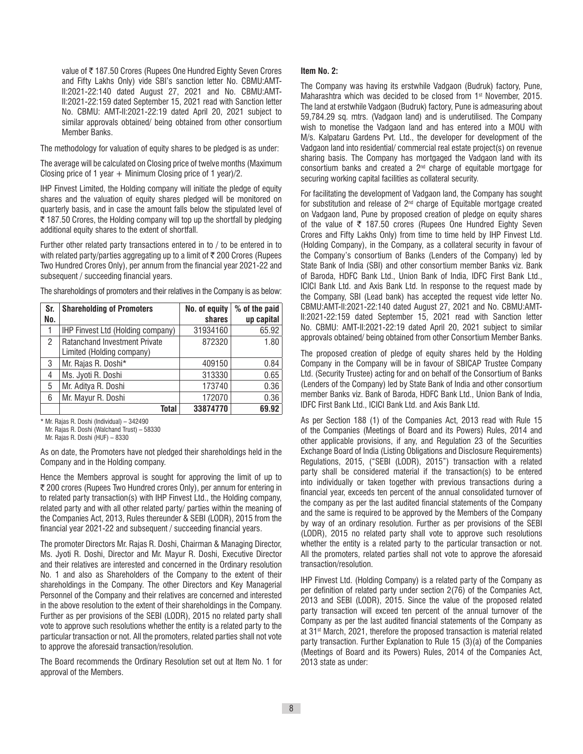value of ₹187.50 Crores (Rupees One Hundred Eighty Seven Crores and Fifty Lakhs Only) vide SBI's sanction letter No. CBMU:AMT-II:2021-22:140 dated August 27, 2021 and No. CBMU:AMT-II:2021-22:159 dated September 15, 2021 read with Sanction letter No. CBMU: AMT-II:2021-22:19 dated April 20, 2021 subject to similar approvals obtained/ being obtained from other consortium Member Banks.

The methodology for valuation of equity shares to be pledged is as under:

The average will be calculated on Closing price of twelve months (Maximum Closing price of 1 year  $+$  Minimum Closing price of 1 year)/2.

IHP Finvest Limited, the Holding company will initiate the pledge of equity shares and the valuation of equity shares pledged will be monitored on quarterly basis, and in case the amount falls below the stipulated level of  $\overline{\tau}$  187.50 Crores, the Holding company will top up the shortfall by pledging additional equity shares to the extent of shortfall.

Further other related party transactions entered in to / to be entered in to with related party/parties aggregating up to a limit of  $\bar{\tau}$  200 Crores (Rupees Two Hundred Crores Only), per annum from the financial year 2021-22 and subsequent / succeeding financial years.

The shareholdings of promoters and their relatives in the Company is as below:

| Sr. | <b>Shareholding of Promoters</b>     | No. of equity | % of the paid |
|-----|--------------------------------------|---------------|---------------|
| No. |                                      | shares        | up capital    |
|     | IHP Finvest Ltd (Holding company)    | 31934160      | 65.92         |
| 2   | <b>Ratanchand Investment Private</b> | 872320        | 1.80          |
|     | Limited (Holding company)            |               |               |
| 3   | Mr. Rajas R. Doshi*                  | 409150        | 0.84          |
| 4   | Ms. Jyoti R. Doshi                   | 313330        | 0.65          |
| 5   | Mr. Aditya R. Doshi                  | 173740        | 0.36          |
| 6   | Mr. Mayur R. Doshi                   | 172070        | 0.36          |
|     | Total                                | 33874770      | 69.92         |

\* Mr. Rajas R. Doshi (Individual) – 342490

Mr. Rajas R. Doshi (Walchand Trust) – 58330

Mr. Rajas R. Doshi (HUF) – 8330

As on date, the Promoters have not pledged their shareholdings held in the Company and in the Holding company.

Hence the Members approval is sought for approving the limit of up to ` 200 crores (Rupees Two Hundred crores Only), per annum for entering in to related party transaction(s) with IHP Finvest Ltd., the Holding company, related party and with all other related party/ parties within the meaning of the Companies Act, 2013, Rules thereunder & SEBI (LODR), 2015 from the financial year 2021-22 and subsequent / succeeding financial years.

The promoter Directors Mr. Rajas R. Doshi, Chairman & Managing Director, Ms. Jyoti R. Doshi, Director and Mr. Mayur R. Doshi, Executive Director and their relatives are interested and concerned in the Ordinary resolution No. 1 and also as Shareholders of the Company to the extent of their shareholdings in the Company. The other Directors and Key Managerial Personnel of the Company and their relatives are concerned and interested in the above resolution to the extent of their shareholdings in the Company. Further as per provisions of the SEBI (LODR), 2015 no related party shall vote to approve such resolutions whether the entity is a related party to the particular transaction or not. All the promoters, related parties shall not vote to approve the aforesaid transaction/resolution.

The Board recommends the Ordinary Resolution set out at Item No. 1 for approval of the Members.

#### **Item No. 2:**

The Company was having its erstwhile Vadgaon (Budruk) factory, Pune, Maharashtra which was decided to be closed from 1<sup>st</sup> November, 2015. The land at erstwhile Vadgaon (Budruk) factory, Pune is admeasuring about 59,784.29 sq. mtrs. (Vadgaon land) and is underutilised. The Company wish to monetise the Vadgaon land and has entered into a MOU with M/s. Kalpataru Gardens Pvt. Ltd., the developer for development of the Vadgaon land into residential/ commercial real estate project(s) on revenue sharing basis. The Company has mortgaged the Vadgaon land with its consortium banks and created a  $2<sup>nd</sup>$  charge of equitable mortgage for securing working capital facilities as collateral security.

For facilitating the development of Vadgaon land, the Company has sought for substitution and release of  $2<sup>nd</sup>$  charge of Equitable mortgage created on Vadgaon land, Pune by proposed creation of pledge on equity shares of the value of  $\overline{\tau}$  187.50 crores (Rupees One Hundred Eighty Seven Crores and Fifty Lakhs Only) from time to time held by IHP Finvest Ltd. (Holding Company), in the Company, as a collateral security in favour of the Company's consortium of Banks (Lenders of the Company) led by State Bank of India (SBI) and other consortium member Banks viz. Bank of Baroda, HDFC Bank Ltd., Union Bank of India, IDFC First Bank Ltd., ICICI Bank Ltd. and Axis Bank Ltd. In response to the request made by the Company, SBI (Lead bank) has accepted the request vide letter No. CBMU:AMT-II:2021-22:140 dated August 27, 2021 and No. CBMU:AMT-II:2021-22:159 dated September 15, 2021 read with Sanction letter No. CBMU: AMT-II:2021-22:19 dated April 20, 2021 subject to similar approvals obtained/ being obtained from other Consortium Member Banks.

The proposed creation of pledge of equity shares held by the Holding Company in the Company will be in favour of SBICAP Trustee Company Ltd. (Security Trustee) acting for and on behalf of the Consortium of Banks (Lenders of the Company) led by State Bank of India and other consortium member Banks viz. Bank of Baroda, HDFC Bank Ltd., Union Bank of India, IDFC First Bank Ltd., ICICI Bank Ltd. and Axis Bank Ltd.

As per Section 188 (1) of the Companies Act, 2013 read with Rule 15 of the Companies (Meetings of Board and its Powers) Rules, 2014 and other applicable provisions, if any, and Regulation 23 of the Securities Exchange Board of India (Listing Obligations and Disclosure Requirements) Regulations, 2015, ("SEBI (LODR), 2015") transaction with a related party shall be considered material if the transaction(s) to be entered into individually or taken together with previous transactions during a financial year, exceeds ten percent of the annual consolidated turnover of the company as per the last audited financial statements of the Company and the same is required to be approved by the Members of the Company by way of an ordinary resolution. Further as per provisions of the SEBI (LODR), 2015 no related party shall vote to approve such resolutions whether the entity is a related party to the particular transaction or not. All the promoters, related parties shall not vote to approve the aforesaid transaction/resolution.

IHP Finvest Ltd. (Holding Company) is a related party of the Company as per definition of related party under section 2(76) of the Companies Act, 2013 and SEBI (LODR), 2015. Since the value of the proposed related party transaction will exceed ten percent of the annual turnover of the Company as per the last audited financial statements of the Company as at 31<sup>st</sup> March, 2021, therefore the proposed transaction is material related party transaction. Further Explanation to Rule 15 (3)(a) of the Companies (Meetings of Board and its Powers) Rules, 2014 of the Companies Act, 2013 state as under: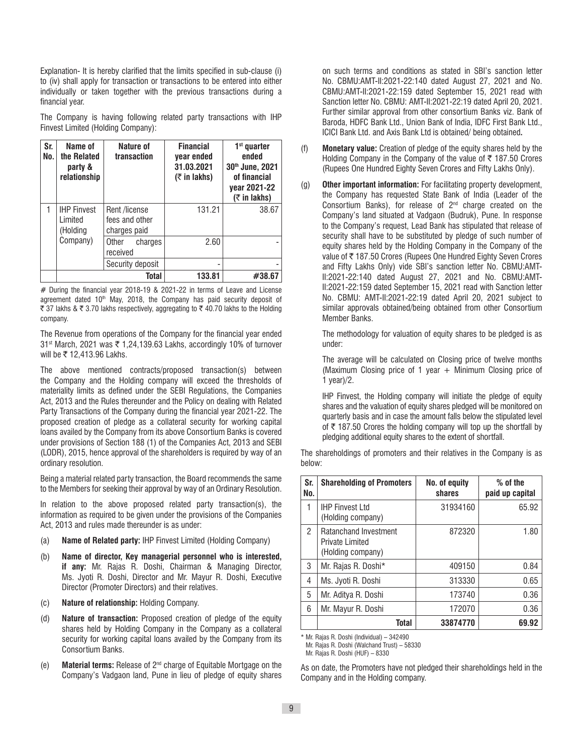Explanation- It is hereby clarified that the limits specified in sub-clause (i) to (iv) shall apply for transaction or transactions to be entered into either individually or taken together with the previous transactions during a financial year.

The Company is having following related party transactions with IHP Finvest Limited (Holding Company):

| Sr.<br>No. | Name of<br>the Related<br>party &<br>relationship | Nature of<br>transaction        | <b>Financial</b><br>year ended<br>31.03.2021<br>$($ ₹ in lakhs) | $1st$ quarter<br>ended<br>30th June, 2021<br>of financial<br>year 2021-22<br>$($ ₹ in lakhs) |
|------------|---------------------------------------------------|---------------------------------|-----------------------------------------------------------------|----------------------------------------------------------------------------------------------|
|            | <b>IHP Finvest</b><br>Limited                     | Rent /license<br>fees and other | 131.21                                                          | 38.67                                                                                        |
|            | (Holding                                          | charges paid                    |                                                                 |                                                                                              |
|            | Company)                                          | Other<br>charges                | 2.60                                                            |                                                                                              |
|            |                                                   | received                        |                                                                 |                                                                                              |
|            |                                                   | Security deposit                |                                                                 |                                                                                              |
|            |                                                   | Total                           | 133.81                                                          | #38.67                                                                                       |

# During the financial year 2018-19 & 2021-22 in terms of Leave and License agreement dated  $10<sup>th</sup>$  May, 2018, the Company has paid security deposit of ₹ 37 lakhs & ₹ 3.70 lakhs respectively, aggregating to ₹ 40.70 lakhs to the Holding company.

The Revenue from operations of the Company for the financial year ended 31<sup>st</sup> March, 2021 was ₹ 1,24,139.63 Lakhs, accordingly 10% of turnover will be  $\bar{\tau}$  12.413.96 Lakhs.

The above mentioned contracts/proposed transaction(s) between the Company and the Holding company will exceed the thresholds of materiality limits as defined under the SEBI Regulations, the Companies Act, 2013 and the Rules thereunder and the Policy on dealing with Related Party Transactions of the Company during the financial year 2021-22. The proposed creation of pledge as a collateral security for working capital loans availed by the Company from its above Consortium Banks is covered under provisions of Section 188 (1) of the Companies Act, 2013 and SEBI (LODR), 2015, hence approval of the shareholders is required by way of an ordinary resolution.

Being a material related party transaction, the Board recommends the same to the Members for seeking their approval by way of an Ordinary Resolution.

In relation to the above proposed related party transaction(s), the information as required to be given under the provisions of the Companies Act, 2013 and rules made thereunder is as under:

- (a) **Name of Related party:** IHP Finvest Limited (Holding Company)
- (b) **Name of director, Key managerial personnel who is interested, if any:** Mr. Rajas R. Doshi, Chairman & Managing Director, Ms. Jyoti R. Doshi, Director and Mr. Mayur R. Doshi, Executive Director (Promoter Directors) and their relatives.
- (c) **Nature of relationship:** Holding Company.
- (d) **Nature of transaction:** Proposed creation of pledge of the equity shares held by Holding Company in the Company as a collateral security for working capital loans availed by the Company from its Consortium Banks.
- (e) **Material terms:** Release of 2nd charge of Equitable Mortgage on the Company's Vadgaon land, Pune in lieu of pledge of equity shares

on such terms and conditions as stated in SBI's sanction letter No. CBMU:AMT-II:2021-22:140 dated August 27, 2021 and No. CBMU:AMT-II:2021-22:159 dated September 15, 2021 read with Sanction letter No. CBMU: AMT-II:2021-22:19 dated April 20, 2021. Further similar approval from other consortium Banks viz. Bank of Baroda, HDFC Bank Ltd., Union Bank of India, IDFC First Bank Ltd., ICICI Bank Ltd. and Axis Bank Ltd is obtained/ being obtained**.**

- (f) **Monetary value:** Creation of pledge of the equity shares held by the Holding Company in the Company of the value of  $\bar{\tau}$  187.50 Crores (Rupees One Hundred Eighty Seven Crores and Fifty Lakhs Only).
- (g) **Other important information:** For facilitating property development, the Company has requested State Bank of India (Leader of the Consortium Banks), for release of 2nd charge created on the Company's land situated at Vadgaon (Budruk), Pune. In response to the Company's request, Lead Bank has stipulated that release of security shall have to be substituted by pledge of such number of equity shares held by the Holding Company in the Company of the value of ₹187.50 Crores (Rupees One Hundred Eighty Seven Crores and Fifty Lakhs Only) vide SBI's sanction letter No. CBMU:AMT-II:2021-22:140 dated August 27, 2021 and No. CBMU:AMT-II:2021-22:159 dated September 15, 2021 read with Sanction letter No. CBMU: AMT-II:2021-22:19 dated April 20, 2021 subject to similar approvals obtained/being obtained from other Consortium Member Banks.

The methodology for valuation of equity shares to be pledged is as under:

The average will be calculated on Closing price of twelve months (Maximum Closing price of 1 year  $+$  Minimum Closing price of 1 year)/2.

IHP Finvest, the Holding company will initiate the pledge of equity shares and the valuation of equity shares pledged will be monitored on quarterly basis and in case the amount falls below the stipulated level of  $\bar{\tau}$  187.50 Crores the holding company will top up the shortfall by pledging additional equity shares to the extent of shortfall.

The shareholdings of promoters and their relatives in the Company is as below:

| Sr.<br>No.     | <b>Shareholding of Promoters</b>                                     | No. of equity<br>shares | $%$ of the<br>paid up capital |
|----------------|----------------------------------------------------------------------|-------------------------|-------------------------------|
| 1              | <b>IHP Finvest Ltd</b><br>(Holding company)                          | 31934160                | 65.92                         |
| $\mathfrak{p}$ | <b>Ratanchand Investment</b><br>Private Limited<br>(Holding company) | 872320                  | 1.80                          |
| 3              | Mr. Rajas R. Doshi*                                                  | 409150                  | 0.84                          |
| 4              | Ms. Jyoti R. Doshi                                                   | 313330                  | 0.65                          |
| 5              | Mr. Aditya R. Doshi                                                  | 173740                  | 0.36                          |
| 6              | Mr. Mayur R. Doshi                                                   | 172070                  | 0.36                          |
|                | <b>Total</b>                                                         | 33874770                | 69.92                         |

\* Mr. Rajas R. Doshi (Individual) – 342490

Mr. Rajas R. Doshi (Walchand Trust) – 58330

Mr. Rajas R. Doshi (HUF) – 8330

As on date, the Promoters have not pledged their shareholdings held in the Company and in the Holding company.